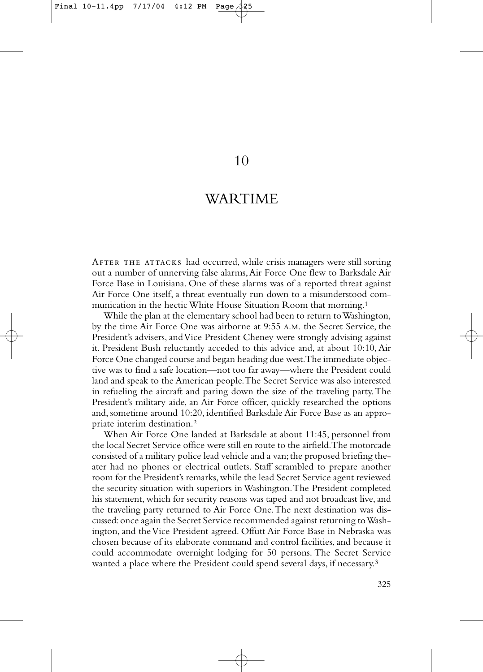# 10

# WARTIME

After the attacks had occurred, while crisis managers were still sorting out a number of unnerving false alarms,Air Force One flew to Barksdale Air Force Base in Louisiana. One of these alarms was of a reported threat against Air Force One itself, a threat eventually run down to a misunderstood communication in the hectic White House Situation Room that morning.1

While the plan at the elementary school had been to return to Washington, by the time Air Force One was airborne at 9:55 A.M. the Secret Service, the President's advisers, and Vice President Cheney were strongly advising against it. President Bush reluctantly acceded to this advice and, at about 10:10, Air Force One changed course and began heading due west.The immediate objective was to find a safe location—not too far away—where the President could land and speak to the American people.The Secret Service was also interested in refueling the aircraft and paring down the size of the traveling party.The President's military aide, an Air Force officer, quickly researched the options and, sometime around 10:20, identified Barksdale Air Force Base as an appropriate interim destination.2

When Air Force One landed at Barksdale at about 11:45, personnel from the local Secret Service office were still en route to the airfield.The motorcade consisted of a military police lead vehicle and a van;the proposed briefing theater had no phones or electrical outlets. Staff scrambled to prepare another room for the President's remarks, while the lead Secret Service agent reviewed the security situation with superiors in Washington.The President completed his statement, which for security reasons was taped and not broadcast live, and the traveling party returned to Air Force One.The next destination was discussed: once again the Secret Service recommended against returning to Washington, and the Vice President agreed. Offutt Air Force Base in Nebraska was chosen because of its elaborate command and control facilities, and because it could accommodate overnight lodging for 50 persons. The Secret Service wanted a place where the President could spend several days, if necessary.<sup>3</sup>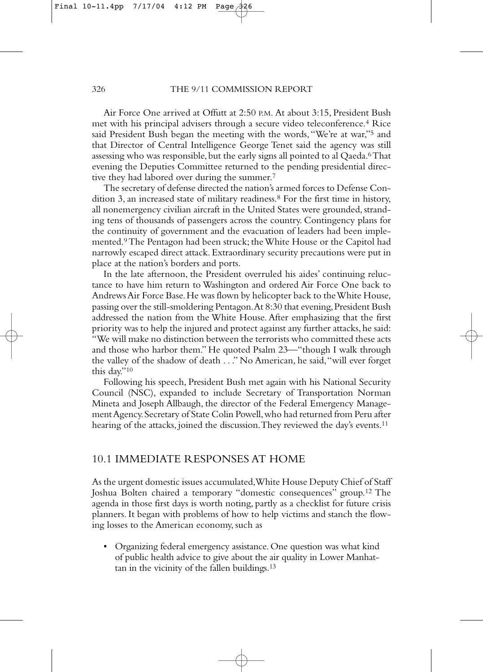Air Force One arrived at Offutt at 2:50 P.M. At about 3:15, President Bush met with his principal advisers through a secure video teleconference.4 Rice said President Bush began the meeting with the words,"We're at war,"5 and that Director of Central Intelligence George Tenet said the agency was still assessing who was responsible, but the early signs all pointed to al Qaeda.<sup>6</sup>That evening the Deputies Committee returned to the pending presidential directive they had labored over during the summer.7

The secretary of defense directed the nation's armed forces to Defense Condition 3, an increased state of military readiness.8 For the first time in history, all nonemergency civilian aircraft in the United States were grounded, stranding tens of thousands of passengers across the country. Contingency plans for the continuity of government and the evacuation of leaders had been implemented.9The Pentagon had been struck; the White House or the Capitol had narrowly escaped direct attack. Extraordinary security precautions were put in place at the nation's borders and ports.

In the late afternoon, the President overruled his aides' continuing reluctance to have him return to Washington and ordered Air Force One back to Andrews Air Force Base.He was flown by helicopter back to the White House, passing over the still-smoldering Pentagon.At 8:30 that evening,President Bush addressed the nation from the White House. After emphasizing that the first priority was to help the injured and protect against any further attacks, he said: "We will make no distinction between the terrorists who committed these acts and those who harbor them." He quoted Psalm 23—"though I walk through the valley of the shadow of death . . ." No American, he said,"will ever forget this day."10

Following his speech, President Bush met again with his National Security Council (NSC), expanded to include Secretary of Transportation Norman Mineta and Joseph Allbaugh, the director of the Federal Emergency Management Agency.Secretary of State Colin Powell,who had returned from Peru after hearing of the attacks, joined the discussion. They reviewed the day's events.<sup>11</sup>

### 10.1 IMMEDIATE RESPONSES AT HOME

As the urgent domestic issues accumulated,White House Deputy Chief of Staff Joshua Bolten chaired a temporary "domestic consequences" group.<sup>12</sup> The agenda in those first days is worth noting, partly as a checklist for future crisis planners. It began with problems of how to help victims and stanch the flowing losses to the American economy, such as

• Organizing federal emergency assistance. One question was what kind of public health advice to give about the air quality in Lower Manhattan in the vicinity of the fallen buildings.13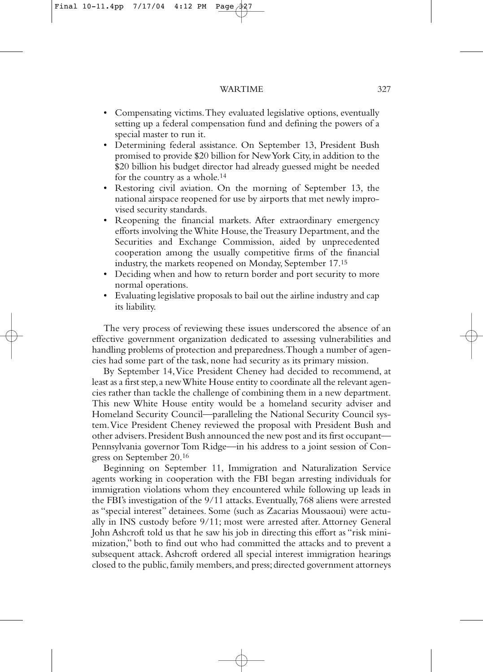- Compensating victims.They evaluated legislative options, eventually setting up a federal compensation fund and defining the powers of a special master to run it.
- Determining federal assistance. On September 13, President Bush promised to provide \$20 billion for New York City,in addition to the \$20 billion his budget director had already guessed might be needed for the country as a whole.14
- Restoring civil aviation. On the morning of September 13, the national airspace reopened for use by airports that met newly improvised security standards.
- Reopening the financial markets. After extraordinary emergency efforts involving the White House, the Treasury Department, and the Securities and Exchange Commission, aided by unprecedented cooperation among the usually competitive firms of the financial industry, the markets reopened on Monday, September 17.15
- Deciding when and how to return border and port security to more normal operations.
- Evaluating legislative proposals to bail out the airline industry and cap its liability.

The very process of reviewing these issues underscored the absence of an effective government organization dedicated to assessing vulnerabilities and handling problems of protection and preparedness.Though a number of agencies had some part of the task, none had security as its primary mission.

By September 14,Vice President Cheney had decided to recommend, at least as a first step, a new White House entity to coordinate all the relevant agencies rather than tackle the challenge of combining them in a new department. This new White House entity would be a homeland security adviser and Homeland Security Council—paralleling the National Security Council system.Vice President Cheney reviewed the proposal with President Bush and other advisers.President Bush announced the new post and its first occupant— Pennsylvania governor Tom Ridge—in his address to a joint session of Congress on September 20.16

Beginning on September 11, Immigration and Naturalization Service agents working in cooperation with the FBI began arresting individuals for immigration violations whom they encountered while following up leads in the FBI's investigation of the 9/11 attacks. Eventually, 768 aliens were arrested as "special interest" detainees. Some (such as Zacarias Moussaoui) were actually in INS custody before 9/11; most were arrested after. Attorney General John Ashcroft told us that he saw his job in directing this effort as "risk minimization," both to find out who had committed the attacks and to prevent a subsequent attack. Ashcroft ordered all special interest immigration hearings closed to the public, family members, and press; directed government attorneys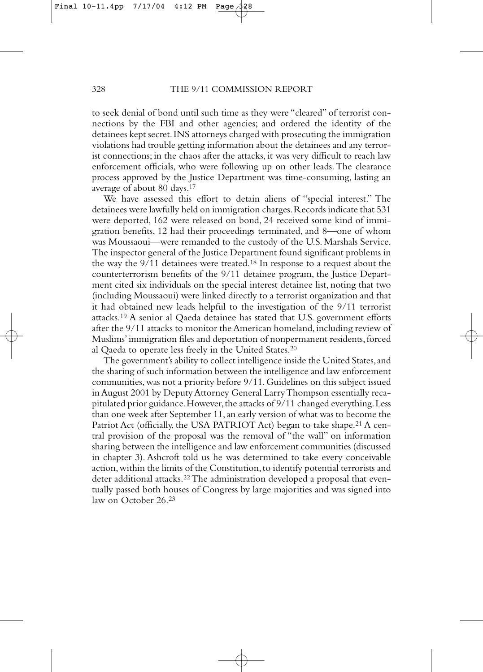to seek denial of bond until such time as they were "cleared" of terrorist connections by the FBI and other agencies; and ordered the identity of the detainees kept secret.INS attorneys charged with prosecuting the immigration violations had trouble getting information about the detainees and any terrorist connections; in the chaos after the attacks, it was very difficult to reach law enforcement officials, who were following up on other leads.The clearance process approved by the Justice Department was time-consuming, lasting an average of about 80 days.17

We have assessed this effort to detain aliens of "special interest." The detainees were lawfully held on immigration charges. Records indicate that 531 were deported, 162 were released on bond, 24 received some kind of immigration benefits, 12 had their proceedings terminated, and 8—one of whom was Moussaoui—were remanded to the custody of the U.S. Marshals Service. The inspector general of the Justice Department found significant problems in the way the 9/11 detainees were treated.18 In response to a request about the counterterrorism benefits of the 9/11 detainee program, the Justice Department cited six individuals on the special interest detainee list, noting that two (including Moussaoui) were linked directly to a terrorist organization and that it had obtained new leads helpful to the investigation of the 9/11 terrorist attacks.19 A senior al Qaeda detainee has stated that U.S. government efforts after the 9/11 attacks to monitor the American homeland, including review of Muslims' immigration files and deportation of nonpermanent residents, forced al Qaeda to operate less freely in the United States.20

The government's ability to collect intelligence inside the United States, and the sharing of such information between the intelligence and law enforcement communities, was not a priority before 9/11. Guidelines on this subject issued in August 2001 by Deputy Attorney General Larry Thompson essentially recapitulated prior guidance. However, the attacks of 9/11 changed everything. Less than one week after September 11,an early version of what was to become the Patriot Act (officially, the USA PATRIOT Act) began to take shape.<sup>21</sup> A central provision of the proposal was the removal of "the wall" on information sharing between the intelligence and law enforcement communities (discussed in chapter 3). Ashcroft told us he was determined to take every conceivable action, within the limits of the Constitution, to identify potential terrorists and deter additional attacks.<sup>22</sup> The administration developed a proposal that eventually passed both houses of Congress by large majorities and was signed into law on October 26.23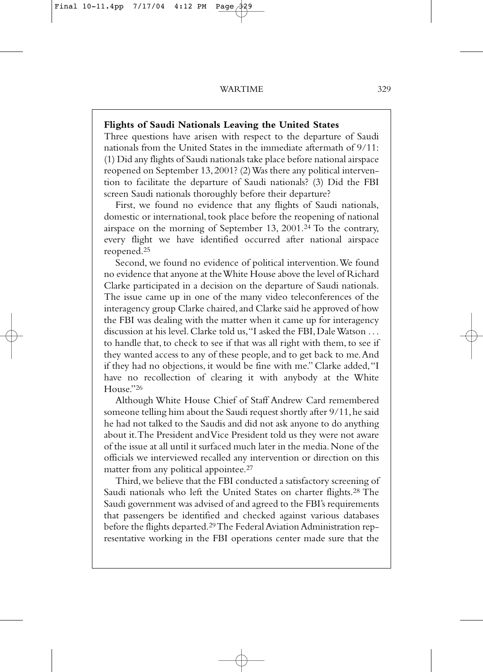## **Flights of Saudi Nationals Leaving the United States**

Three questions have arisen with respect to the departure of Saudi nationals from the United States in the immediate aftermath of 9/11: (1) Did any flights of Saudi nationals take place before national airspace reopened on September 13,2001? (2) Was there any political intervention to facilitate the departure of Saudi nationals? (3) Did the FBI screen Saudi nationals thoroughly before their departure?

First, we found no evidence that any flights of Saudi nationals, domestic or international, took place before the reopening of national airspace on the morning of September 13, 2001.24 To the contrary, every flight we have identified occurred after national airspace reopened.25

Second, we found no evidence of political intervention.We found no evidence that anyone at the White House above the level of Richard Clarke participated in a decision on the departure of Saudi nationals. The issue came up in one of the many video teleconferences of the interagency group Clarke chaired, and Clarke said he approved of how the FBI was dealing with the matter when it came up for interagency discussion at his level. Clarke told us,"I asked the FBI, Dale Watson . . . to handle that, to check to see if that was all right with them, to see if they wanted access to any of these people, and to get back to me.And if they had no objections, it would be fine with me." Clarke added,"I have no recollection of clearing it with anybody at the White House."26

Although White House Chief of Staff Andrew Card remembered someone telling him about the Saudi request shortly after 9/11, he said he had not talked to the Saudis and did not ask anyone to do anything about it.The President and Vice President told us they were not aware of the issue at all until it surfaced much later in the media.None of the officials we interviewed recalled any intervention or direction on this matter from any political appointee.27

Third, we believe that the FBI conducted a satisfactory screening of Saudi nationals who left the United States on charter flights.28 The Saudi government was advised of and agreed to the FBI's requirements that passengers be identified and checked against various databases before the flights departed.29The Federal Aviation Administration representative working in the FBI operations center made sure that the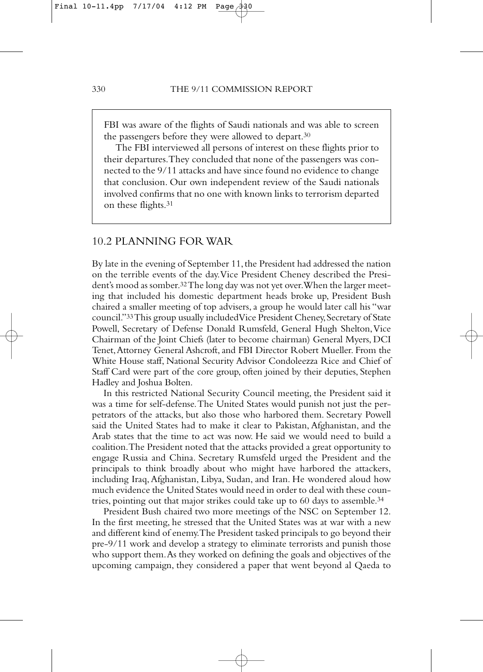FBI was aware of the flights of Saudi nationals and was able to screen the passengers before they were allowed to depart.30

The FBI interviewed all persons of interest on these flights prior to their departures.They concluded that none of the passengers was connected to the 9/11 attacks and have since found no evidence to change that conclusion. Our own independent review of the Saudi nationals involved confirms that no one with known links to terrorism departed on these flights.31

### 10.2 PLANNING FOR WAR

By late in the evening of September 11, the President had addressed the nation on the terrible events of the day.Vice President Cheney described the President's mood as somber.<sup>32</sup>The long day was not yet over. When the larger meeting that included his domestic department heads broke up, President Bush chaired a smaller meeting of top advisers, a group he would later call his "war council."33 This group usually included Vice President Cheney, Secretary of State Powell, Secretary of Defense Donald Rumsfeld, General Hugh Shelton, Vice Chairman of the Joint Chiefs (later to become chairman) General Myers, DCI Tenet,Attorney General Ashcroft, and FBI Director Robert Mueller. From the White House staff, National Security Advisor Condoleezza Rice and Chief of Staff Card were part of the core group, often joined by their deputies, Stephen Hadley and Joshua Bolten.

In this restricted National Security Council meeting, the President said it was a time for self-defense.The United States would punish not just the perpetrators of the attacks, but also those who harbored them. Secretary Powell said the United States had to make it clear to Pakistan, Afghanistan, and the Arab states that the time to act was now. He said we would need to build a coalition.The President noted that the attacks provided a great opportunity to engage Russia and China. Secretary Rumsfeld urged the President and the principals to think broadly about who might have harbored the attackers, including Iraq,Afghanistan, Libya, Sudan, and Iran. He wondered aloud how much evidence the United States would need in order to deal with these countries, pointing out that major strikes could take up to 60 days to assemble.34

President Bush chaired two more meetings of the NSC on September 12. In the first meeting, he stressed that the United States was at war with a new and different kind of enemy.The President tasked principals to go beyond their pre-9/11 work and develop a strategy to eliminate terrorists and punish those who support them.As they worked on defining the goals and objectives of the upcoming campaign, they considered a paper that went beyond al Qaeda to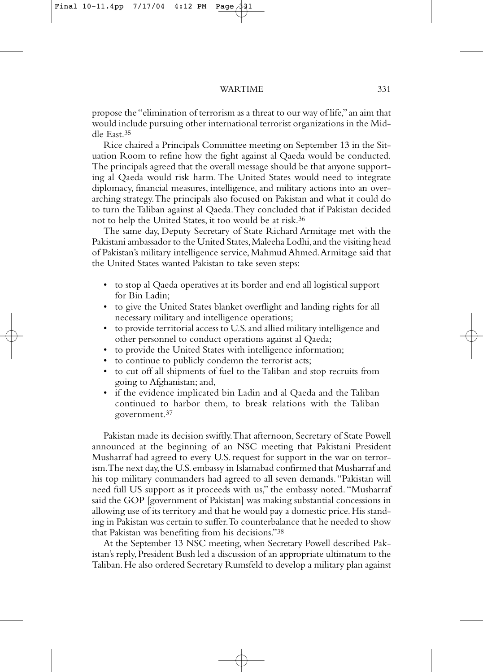propose the "elimination of terrorism as a threat to our way of life,"an aim that would include pursuing other international terrorist organizations in the Middle East.35

Rice chaired a Principals Committee meeting on September 13 in the Situation Room to refine how the fight against al Qaeda would be conducted. The principals agreed that the overall message should be that anyone supporting al Qaeda would risk harm. The United States would need to integrate diplomacy, financial measures, intelligence, and military actions into an overarching strategy.The principals also focused on Pakistan and what it could do to turn the Taliban against al Qaeda.They concluded that if Pakistan decided not to help the United States, it too would be at risk.36

The same day, Deputy Secretary of State Richard Armitage met with the Pakistani ambassador to the United States, Maleeha Lodhi, and the visiting head of Pakistan's military intelligence service, Mahmud Ahmed.Armitage said that the United States wanted Pakistan to take seven steps:

- to stop al Qaeda operatives at its border and end all logistical support for Bin Ladin;
- to give the United States blanket overflight and landing rights for all necessary military and intelligence operations;
- to provide territorial access to U.S.and allied military intelligence and other personnel to conduct operations against al Qaeda;
- to provide the United States with intelligence information;
- to continue to publicly condemn the terrorist acts;
- to cut off all shipments of fuel to the Taliban and stop recruits from going to Afghanistan; and,
- if the evidence implicated bin Ladin and al Qaeda and the Taliban continued to harbor them, to break relations with the Taliban government.37

Pakistan made its decision swiftly.That afternoon, Secretary of State Powell announced at the beginning of an NSC meeting that Pakistani President Musharraf had agreed to every U.S. request for support in the war on terrorism. The next day, the U.S. embassy in Islamabad confirmed that Musharraf and his top military commanders had agreed to all seven demands."Pakistan will need full US support as it proceeds with us," the embassy noted."Musharraf said the GOP [government of Pakistan] was making substantial concessions in allowing use of its territory and that he would pay a domestic price.His standing in Pakistan was certain to suffer.To counterbalance that he needed to show that Pakistan was benefiting from his decisions."38

At the September 13 NSC meeting, when Secretary Powell described Pakistan's reply,President Bush led a discussion of an appropriate ultimatum to the Taliban.He also ordered Secretary Rumsfeld to develop a military plan against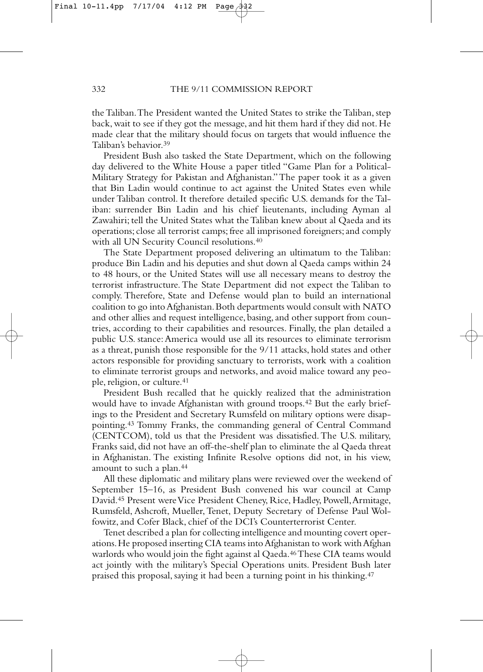the Taliban.The President wanted the United States to strike the Taliban, step back, wait to see if they got the message, and hit them hard if they did not. He made clear that the military should focus on targets that would influence the Taliban's behavior.39

President Bush also tasked the State Department, which on the following day delivered to the White House a paper titled "Game Plan for a Political-Military Strategy for Pakistan and Afghanistan."The paper took it as a given that Bin Ladin would continue to act against the United States even while under Taliban control. It therefore detailed specific U.S. demands for the Taliban: surrender Bin Ladin and his chief lieutenants, including Ayman al Zawahiri; tell the United States what the Taliban knew about al Qaeda and its operations; close all terrorist camps; free all imprisoned foreigners; and comply with all UN Security Council resolutions.40

The State Department proposed delivering an ultimatum to the Taliban: produce Bin Ladin and his deputies and shut down al Qaeda camps within 24 to 48 hours, or the United States will use all necessary means to destroy the terrorist infrastructure. The State Department did not expect the Taliban to comply. Therefore, State and Defense would plan to build an international coalition to go into Afghanistan.Both departments would consult with NATO and other allies and request intelligence, basing, and other support from countries, according to their capabilities and resources. Finally, the plan detailed a public U.S. stance:America would use all its resources to eliminate terrorism as a threat, punish those responsible for the 9/11 attacks, hold states and other actors responsible for providing sanctuary to terrorists, work with a coalition to eliminate terrorist groups and networks, and avoid malice toward any people, religion, or culture.41

President Bush recalled that he quickly realized that the administration would have to invade Afghanistan with ground troops.42 But the early briefings to the President and Secretary Rumsfeld on military options were disappointing.43 Tommy Franks, the commanding general of Central Command (CENTCOM), told us that the President was dissatisfied. The U.S. military, Franks said, did not have an off-the-shelf plan to eliminate the al Qaeda threat in Afghanistan. The existing Infinite Resolve options did not, in his view, amount to such a plan.44

All these diplomatic and military plans were reviewed over the weekend of September 15–16, as President Bush convened his war council at Camp David.45 Present were Vice President Cheney, Rice, Hadley, Powell,Armitage, Rumsfeld, Ashcroft, Mueller, Tenet, Deputy Secretary of Defense Paul Wolfowitz, and Cofer Black, chief of the DCI's Counterterrorist Center.

Tenet described a plan for collecting intelligence and mounting covert operations.He proposed inserting CIA teams into Afghanistan to work with Afghan warlords who would join the fight against al Qaeda.<sup>46</sup>These CIA teams would act jointly with the military's Special Operations units. President Bush later praised this proposal, saying it had been a turning point in his thinking.47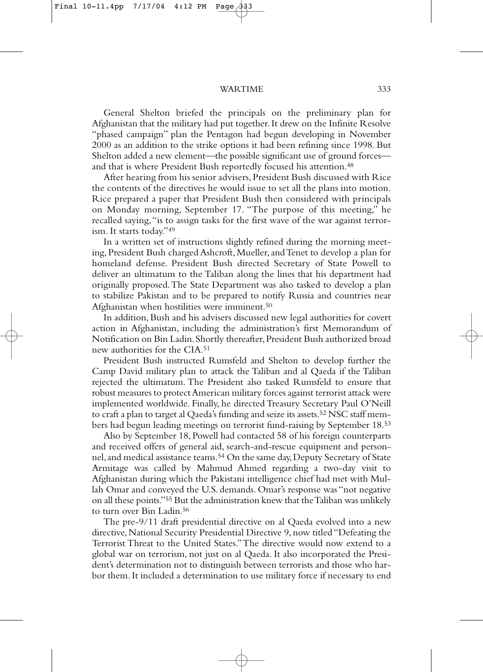General Shelton briefed the principals on the preliminary plan for Afghanistan that the military had put together. It drew on the Infinite Resolve "phased campaign" plan the Pentagon had begun developing in November 2000 as an addition to the strike options it had been refining since 1998. But Shelton added a new element—the possible significant use of ground forces and that is where President Bush reportedly focused his attention.<sup>48</sup>

After hearing from his senior advisers,President Bush discussed with Rice the contents of the directives he would issue to set all the plans into motion. Rice prepared a paper that President Bush then considered with principals on Monday morning, September 17. "The purpose of this meeting," he recalled saying,"is to assign tasks for the first wave of the war against terrorism. It starts today."49

In a written set of instructions slightly refined during the morning meeting, President Bush charged Ashcroft, Mueller,and Tenet to develop a plan for homeland defense. President Bush directed Secretary of State Powell to deliver an ultimatum to the Taliban along the lines that his department had originally proposed.The State Department was also tasked to develop a plan to stabilize Pakistan and to be prepared to notify Russia and countries near Afghanistan when hostilities were imminent.50

In addition, Bush and his advisers discussed new legal authorities for covert action in Afghanistan, including the administration's first Memorandum of Notification on Bin Ladin.Shortly thereafter,President Bush authorized broad new authorities for the CIA.51

President Bush instructed Rumsfeld and Shelton to develop further the Camp David military plan to attack the Taliban and al Qaeda if the Taliban rejected the ultimatum. The President also tasked Rumsfeld to ensure that robust measures to protect American military forces against terrorist attack were implemented worldwide. Finally, he directed Treasury Secretary Paul O'Neill to craft a plan to target al Qaeda's funding and seize its assets.52 NSC staff members had begun leading meetings on terrorist fund-raising by September 18.53

Also by September 18, Powell had contacted 58 of his foreign counterparts and received offers of general aid, search-and-rescue equipment and personnel,and medical assistance teams.54 On the same day,Deputy Secretary of State Armitage was called by Mahmud Ahmed regarding a two-day visit to Afghanistan during which the Pakistani intelligence chief had met with Mullah Omar and conveyed the U.S. demands. Omar's response was "not negative on all these points."55 But the administration knew that the Taliban was unlikely to turn over Bin Ladin.56

The pre-9/11 draft presidential directive on al Qaeda evolved into a new directive, National Security Presidential Directive 9, now titled "Defeating the Terrorist Threat to the United States."The directive would now extend to a global war on terrorism, not just on al Qaeda. It also incorporated the President's determination not to distinguish between terrorists and those who harbor them. It included a determination to use military force if necessary to end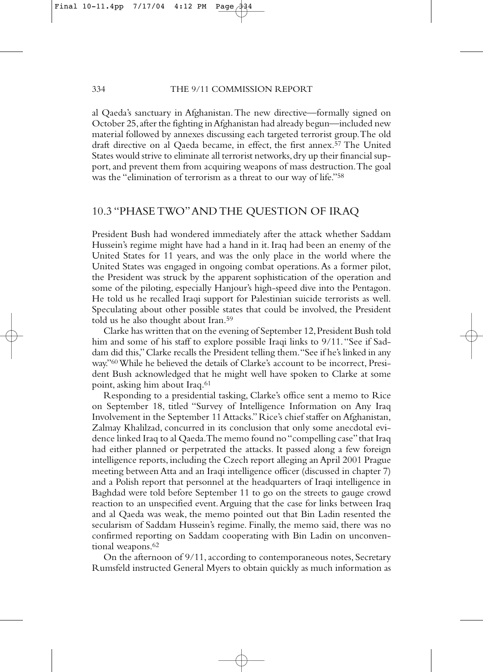al Qaeda's sanctuary in Afghanistan.The new directive—formally signed on October 25,after the fighting in Afghanistan had already begun—included new material followed by annexes discussing each targeted terrorist group.The old draft directive on al Qaeda became, in effect, the first annex.57 The United States would strive to eliminate all terrorist networks, dry up their financial support, and prevent them from acquiring weapons of mass destruction.The goal was the "elimination of terrorism as a threat to our way of life."<sup>58</sup>

## 10.3 "PHASE TWO"AND THE QUESTION OF IRAQ

President Bush had wondered immediately after the attack whether Saddam Hussein's regime might have had a hand in it. Iraq had been an enemy of the United States for 11 years, and was the only place in the world where the United States was engaged in ongoing combat operations.As a former pilot, the President was struck by the apparent sophistication of the operation and some of the piloting, especially Hanjour's high-speed dive into the Pentagon. He told us he recalled Iraqi support for Palestinian suicide terrorists as well. Speculating about other possible states that could be involved, the President told us he also thought about Iran.59

Clarke has written that on the evening of September 12,President Bush told him and some of his staff to explore possible Iraqi links to 9/11."See if Saddam did this,"Clarke recalls the President telling them."See if he's linked in any way."60While he believed the details of Clarke's account to be incorrect, President Bush acknowledged that he might well have spoken to Clarke at some point, asking him about Iraq.61

Responding to a presidential tasking, Clarke's office sent a memo to Rice on September 18, titled "Survey of Intelligence Information on Any Iraq Involvement in the September 11 Attacks." Rice's chief staffer on Afghanistan, Zalmay Khalilzad, concurred in its conclusion that only some anecdotal evidence linked Iraq to al Qaeda.The memo found no "compelling case"that Iraq had either planned or perpetrated the attacks. It passed along a few foreign intelligence reports, including the Czech report alleging an April 2001 Prague meeting between Atta and an Iraqi intelligence officer (discussed in chapter 7) and a Polish report that personnel at the headquarters of Iraqi intelligence in Baghdad were told before September 11 to go on the streets to gauge crowd reaction to an unspecified event.Arguing that the case for links between Iraq and al Qaeda was weak, the memo pointed out that Bin Ladin resented the secularism of Saddam Hussein's regime. Finally, the memo said, there was no confirmed reporting on Saddam cooperating with Bin Ladin on unconventional weapons.62

On the afternoon of 9/11, according to contemporaneous notes, Secretary Rumsfeld instructed General Myers to obtain quickly as much information as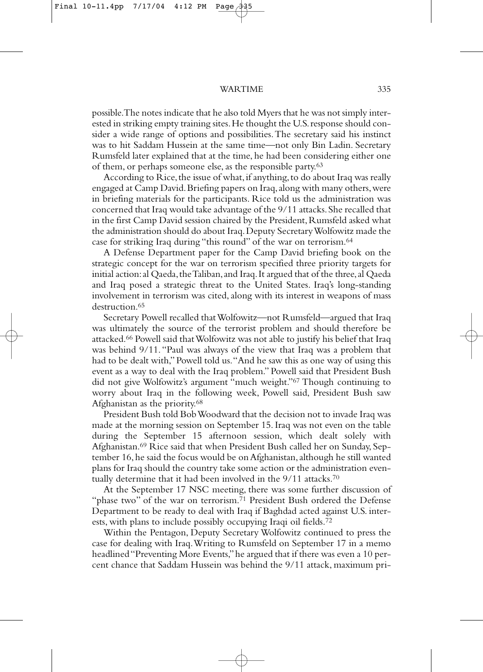possible.The notes indicate that he also told Myers that he was not simply interested in striking empty training sites.He thought the U.S.response should consider a wide range of options and possibilities.The secretary said his instinct was to hit Saddam Hussein at the same time—not only Bin Ladin. Secretary Rumsfeld later explained that at the time, he had been considering either one of them, or perhaps someone else, as the responsible party.63

According to Rice, the issue of what, if anything, to do about Iraq was really engaged at Camp David. Briefing papers on Iraq, along with many others, were in briefing materials for the participants. Rice told us the administration was concerned that Iraq would take advantage of the 9/11 attacks.She recalled that in the first Camp David session chaired by the President, Rumsfeld asked what the administration should do about Iraq.Deputy Secretary Wolfowitz made the case for striking Iraq during "this round" of the war on terrorism.64

A Defense Department paper for the Camp David briefing book on the strategic concept for the war on terrorism specified three priority targets for initial action: al Qaeda, the Taliban, and Iraq. It argued that of the three, al Qaeda and Iraq posed a strategic threat to the United States. Iraq's long-standing involvement in terrorism was cited, along with its interest in weapons of mass destruction.65

Secretary Powell recalled that Wolfowitz—not Rumsfeld—argued that Iraq was ultimately the source of the terrorist problem and should therefore be attacked.66 Powell said that Wolfowitz was not able to justify his belief that Iraq was behind 9/11."Paul was always of the view that Iraq was a problem that had to be dealt with," Powell told us."And he saw this as one way of using this event as a way to deal with the Iraq problem." Powell said that President Bush did not give Wolfowitz's argument "much weight."67 Though continuing to worry about Iraq in the following week, Powell said, President Bush saw Afghanistan as the priority.68

President Bush told Bob Woodward that the decision not to invade Iraq was made at the morning session on September 15. Iraq was not even on the table during the September 15 afternoon session, which dealt solely with Afghanistan.69 Rice said that when President Bush called her on Sunday, September 16, he said the focus would be on Afghanistan, although he still wanted plans for Iraq should the country take some action or the administration eventually determine that it had been involved in the 9/11 attacks.70

At the September 17 NSC meeting, there was some further discussion of "phase two" of the war on terrorism.<sup>71</sup> President Bush ordered the Defense Department to be ready to deal with Iraq if Baghdad acted against U.S. interests, with plans to include possibly occupying Iraqi oil fields.72

Within the Pentagon, Deputy Secretary Wolfowitz continued to press the case for dealing with Iraq.Writing to Rumsfeld on September 17 in a memo headlined "Preventing More Events,"he argued that if there was even a 10 percent chance that Saddam Hussein was behind the 9/11 attack, maximum pri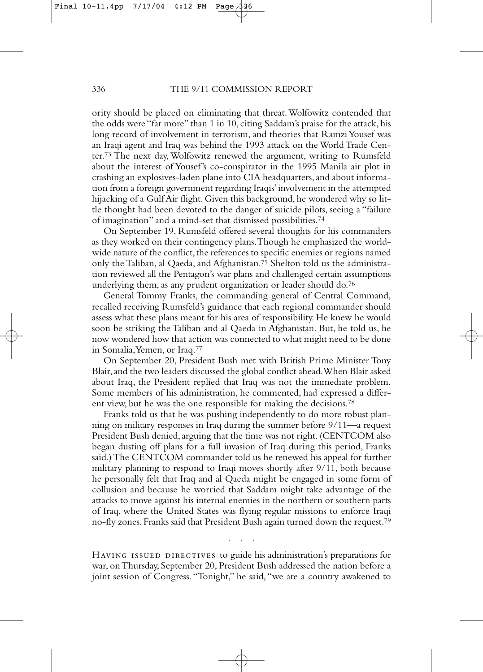ority should be placed on eliminating that threat.Wolfowitz contended that the odds were "far more" than 1 in 10, citing Saddam's praise for the attack, his long record of involvement in terrorism, and theories that Ramzi Yousef was an Iraqi agent and Iraq was behind the 1993 attack on the World Trade Center.73 The next day, Wolfowitz renewed the argument, writing to Rumsfeld about the interest of Yousef's co-conspirator in the 1995 Manila air plot in crashing an explosives-laden plane into CIA headquarters, and about information from a foreign government regarding Iraqis'involvement in the attempted hijacking of a Gulf Air flight. Given this background, he wondered why so little thought had been devoted to the danger of suicide pilots, seeing a "failure of imagination" and a mind-set that dismissed possibilities.74

On September 19, Rumsfeld offered several thoughts for his commanders as they worked on their contingency plans.Though he emphasized the worldwide nature of the conflict, the references to specific enemies or regions named only the Taliban, al Qaeda, and Afghanistan.75 Shelton told us the administration reviewed all the Pentagon's war plans and challenged certain assumptions underlying them, as any prudent organization or leader should do.76

General Tommy Franks, the commanding general of Central Command, recalled receiving Rumsfeld's guidance that each regional commander should assess what these plans meant for his area of responsibility. He knew he would soon be striking the Taliban and al Qaeda in Afghanistan. But, he told us, he now wondered how that action was connected to what might need to be done in Somalia,Yemen, or Iraq.77

On September 20, President Bush met with British Prime Minister Tony Blair,and the two leaders discussed the global conflict ahead.When Blair asked about Iraq, the President replied that Iraq was not the immediate problem. Some members of his administration, he commented, had expressed a different view, but he was the one responsible for making the decisions.78

Franks told us that he was pushing independently to do more robust planning on military responses in Iraq during the summer before 9/11—a request President Bush denied, arguing that the time was not right. (CENTCOM also began dusting off plans for a full invasion of Iraq during this period, Franks said.) The CENTCOM commander told us he renewed his appeal for further military planning to respond to Iraqi moves shortly after 9/11, both because he personally felt that Iraq and al Qaeda might be engaged in some form of collusion and because he worried that Saddam might take advantage of the attacks to move against his internal enemies in the northern or southern parts of Iraq, where the United States was flying regular missions to enforce Iraqi no-fly zones. Franks said that President Bush again turned down the request.<sup>79</sup>

...

HAVING ISSUED DIRECTIVES to guide his administration's preparations for war, on Thursday, September 20, President Bush addressed the nation before a joint session of Congress. "Tonight," he said, "we are a country awakened to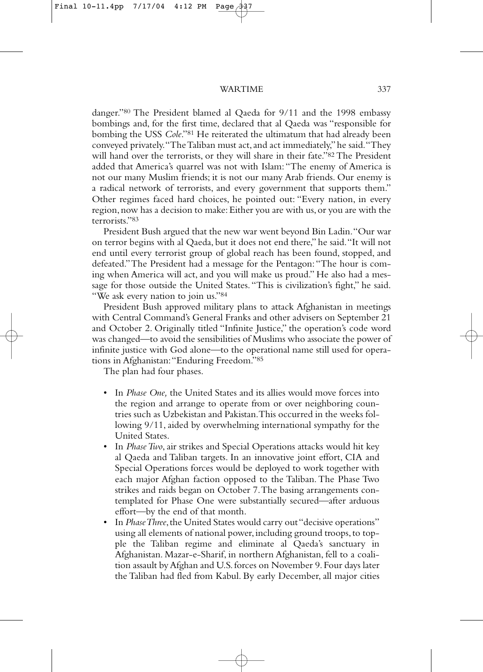danger."80 The President blamed al Qaeda for 9/11 and the 1998 embassy bombings and, for the first time, declared that al Qaeda was "responsible for bombing the USS *Cole*."81 He reiterated the ultimatum that had already been conveyed privately."The Taliban must act,and act immediately,"he said."They will hand over the terrorists, or they will share in their fate."82 The President added that America's quarrel was not with Islam:"The enemy of America is not our many Muslim friends; it is not our many Arab friends. Our enemy is a radical network of terrorists, and every government that supports them." Other regimes faced hard choices, he pointed out: "Every nation, in every region, now has a decision to make: Either you are with us, or you are with the terrorists."83

President Bush argued that the new war went beyond Bin Ladin."Our war on terror begins with al Qaeda, but it does not end there," he said."It will not end until every terrorist group of global reach has been found, stopped, and defeated."The President had a message for the Pentagon:"The hour is coming when America will act, and you will make us proud." He also had a message for those outside the United States."This is civilization's fight," he said. "We ask every nation to join us."84

President Bush approved military plans to attack Afghanistan in meetings with Central Command's General Franks and other advisers on September 21 and October 2. Originally titled "Infinite Justice," the operation's code word was changed—to avoid the sensibilities of Muslims who associate the power of infinite justice with God alone—to the operational name still used for operations in Afghanistan:"Enduring Freedom."85

The plan had four phases.

- In *Phase One,* the United States and its allies would move forces into the region and arrange to operate from or over neighboring countries such as Uzbekistan and Pakistan.This occurred in the weeks following 9/11, aided by overwhelming international sympathy for the United States.
- In *Phase Two*, air strikes and Special Operations attacks would hit key al Qaeda and Taliban targets. In an innovative joint effort, CIA and Special Operations forces would be deployed to work together with each major Afghan faction opposed to the Taliban. The Phase Two strikes and raids began on October 7.The basing arrangements contemplated for Phase One were substantially secured—after arduous effort—by the end of that month.
- In *Phase Three*, the United States would carry out "decisive operations" using all elements of national power, including ground troops, to topple the Taliban regime and eliminate al Qaeda's sanctuary in Afghanistan. Mazar-e-Sharif, in northern Afghanistan, fell to a coalition assault by Afghan and U.S.forces on November 9.Four days later the Taliban had fled from Kabul. By early December, all major cities